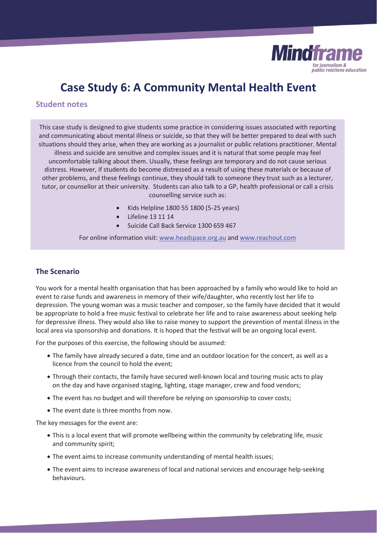

# **Case Study 6: A Community Mental Health Event**

## **Student notes**

This case study is designed to give students some practice in considering issues associated with reporting and communicating about mental illness or suicide, so that they will be better prepared to deal with such situations should they arise, when they are working as a journalist or public relations practitioner. Mental illness and suicide are sensitive and complex issues and it is natural that some people may feel uncomfortable talking about them. Usually, these feelings are temporary and do not cause serious distress. However, if students do become distressed as a result of using these materials or because of other problems, and these feelings continue, they should talk to someone they trust such as a lecturer, tutor, or counsellor at their university. Students can also talk to a GP, health professional or call a crisis counselling service such as:

- x Kids Helpline 1800 55 1800 (5-25 years)
- Lifeline 13 11 14
- Suicide Call Back Service 1300 659 467

For online information visit: www.headspace.org.au and www.reachout.com

## **The Scenario**

You work for a mental health organisation that has been approached by a family who would like to hold an event to raise funds and awareness in memory of their wife/daughter, who recently lost her life to depression. The young woman was a music teacher and composer, so the family have decided that it would be appropriate to hold a free music festival to celebrate her life and to raise awareness about seeking help for depressive illness. They would also like to raise money to support the prevention of mental illness in the local area via sponsorship and donations. It is hoped that the festival will be an ongoing local event.

For the purposes of this exercise, the following should be assumed:

- The family have already secured a date, time and an outdoor location for the concert, as well as a licence from the council to hold the event;
- Through their contacts, the family have secured well-known local and touring music acts to play on the day and have organised staging, lighting, stage manager, crew and food vendors;
- The event has no budget and will therefore be relying on sponsorship to cover costs;
- The event date is three months from now.

The key messages for the event are:

- This is a local event that will promote wellbeing within the community by celebrating life, music and community spirit;
- The event aims to increase community understanding of mental health issues;
- The event aims to increase awareness of local and national services and encourage help-seeking behaviours.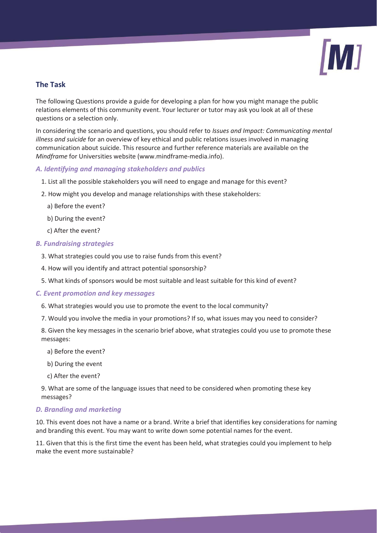

## **The Task**

The following Questions provide a guide for developing a plan for how you might manage the public relations elements of this community event. Your lecturer or tutor may ask you look at all of these questions or a selection only.

In considering the scenario and questions, you should refer to *Issues and Impact: Communicating mental illness and suicide* for an overview of key ethical and public relations issues involved in managing communication about suicide. This resource and further reference materials are available on the *Mindframe* for Universities website (www.mindframe-media.info).

## *A. Identifying and managing stakeholders and publics*

- 1. List all the possible stakeholders you will need to engage and manage for this event?
- 2. How might you develop and manage relationships with these stakeholders:
	- a) Before the event?
	- b) During the event?
	- c) After the event?

### *B. Fundraising strategies*

- 3. What strategies could you use to raise funds from this event?
- 4. How will you identify and attract potential sponsorship?
- 5. What kinds of sponsors would be most suitable and least suitable for this kind of event?

### *C. Event promotion and key messages*

- 6. What strategies would you use to promote the event to the local community?
- 7. Would you involve the media in your promotions? If so, what issues may you need to consider?

8. Given the key messages in the scenario brief above, what strategies could you use to promote these messages:

- a) Before the event?
- b) During the event
- c) After the event?

9. What are some of the language issues that need to be considered when promoting these key messages?

### *D. Branding and marketing*

10. This event does not have a name or a brand. Write a brief that identifies key considerations for naming and branding this event. You may want to write down some potential names for the event.

11. Given that this is the first time the event has been held, what strategies could you implement to help make the event more sustainable?